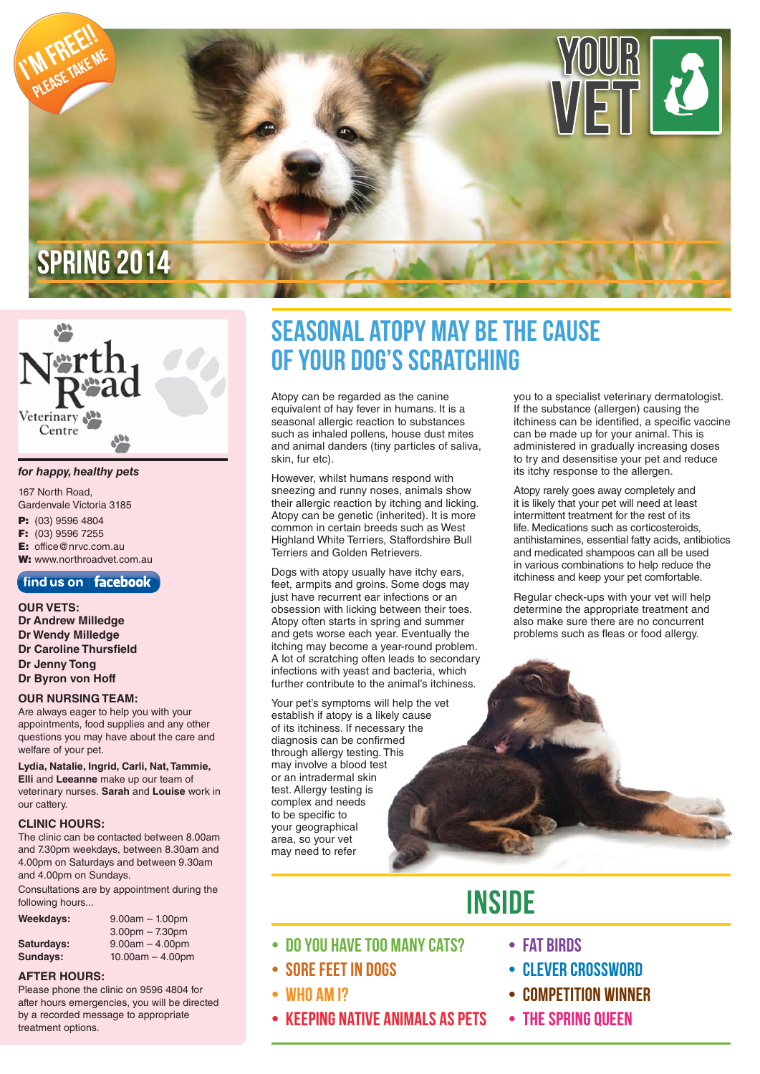

# Veterinary Centre

#### *for happy, healthy pets*

167 North Road, Gardenvale Victoria 3185 **P:** (03) 9596 4804 **F:** (03) 9596 7255 **E:** office@nrvc.com.au **W:** www.northroadvet.com.au

### $^{\prime}$  find us on  $\vert$  **facebook**

**OUR VETS: Dr Andrew Milledge Dr Wendy Milledge Dr Caroline Thursfield Dr Jenny Tong Dr Byron von Hoff**

#### **OUR NURSING TEAM:**

Are always eager to help you with your appointments, food supplies and any other questions you may have about the care and welfare of your pet.

**Lydia, Natalie, Ingrid, Carli, Nat, Tammie, Elli** and **Leeanne** make up our team of veterinary nurses. **Sarah** and **Louise** work in our cattery.

#### **CLINIC HOURS:**

The clinic can be contacted between 8.00am and 7.30pm weekdays, between 8.30am and 4.00pm on Saturdays and between 9.30am and 4.00pm on Sundays.

Consultations are by appointment during the following hours...

| Weekdays:       | $9.00am - 1.00pm$  |
|-----------------|--------------------|
|                 | $3.00pm - 7.30pm$  |
| Saturdays:      | $9.00am - 4.00pm$  |
| <b>Sundays:</b> | $10.00am - 4.00pm$ |

#### **AFTER HOURS:**

Please phone the clinic on 9596 4804 for after hours emergencies, you will be directed by a recorded message to appropriate treatment options.

### Seasonal atopy may be the cause of your dog's scratching

Atopy can be regarded as the canine equivalent of hay fever in humans. It is a seasonal allergic reaction to substances such as inhaled pollens, house dust mites and animal danders (tiny particles of saliva, skin, fur etc).

However, whilst humans respond with sneezing and runny noses, animals show their allergic reaction by itching and licking. Atopy can be genetic (inherited). It is more common in certain breeds such as West Highland White Terriers, Staffordshire Bull Terriers and Golden Retrievers.

Dogs with atopy usually have itchy ears, feet, armpits and groins. Some dogs may just have recurrent ear infections or an obsession with licking between their toes. Atopy often starts in spring and summer and gets worse each year. Eventually the itching may become a year-round problem. A lot of scratching often leads to secondary infections with yeast and bacteria, which further contribute to the animal's itchiness.

Your pet's symptoms will help the vet establish if atopy is a likely cause of its itchiness. If necessary the diagnosis can be confirmed through allergy testing. This may involve a blood test or an intradermal skin test. Allergy testing is complex and needs to be specific to your geographical area, so your vet may need to refer

you to a specialist veterinary dermatologist. If the substance (allergen) causing the itchiness can be identified, a specific vaccine can be made up for your animal. This is administered in gradually increasing doses to try and desensitise your pet and reduce its itchy response to the allergen.

Atopy rarely goes away completely and it is likely that your pet will need at least intermittent treatment for the rest of its life. Medications such as corticosteroids, antihistamines, essential fatty acids, antibiotics and medicated shampoos can all be used in various combinations to help reduce the itchiness and keep your pet comfortable.

Regular check-ups with your vet will help determine the appropriate treatment and also make sure there are no concurrent problems such as fleas or food allergy.

### **INSIDE**

- DO YOU HAVE TOO MANY CATS?
- Sore feet in Dogs
- WHO AM I?
- KEEPING NATIVE ANIMALS AS PETS
- Fat Birds
- Clever Crossword
- COMPETITION WINNER
- THE SPRING QUEEN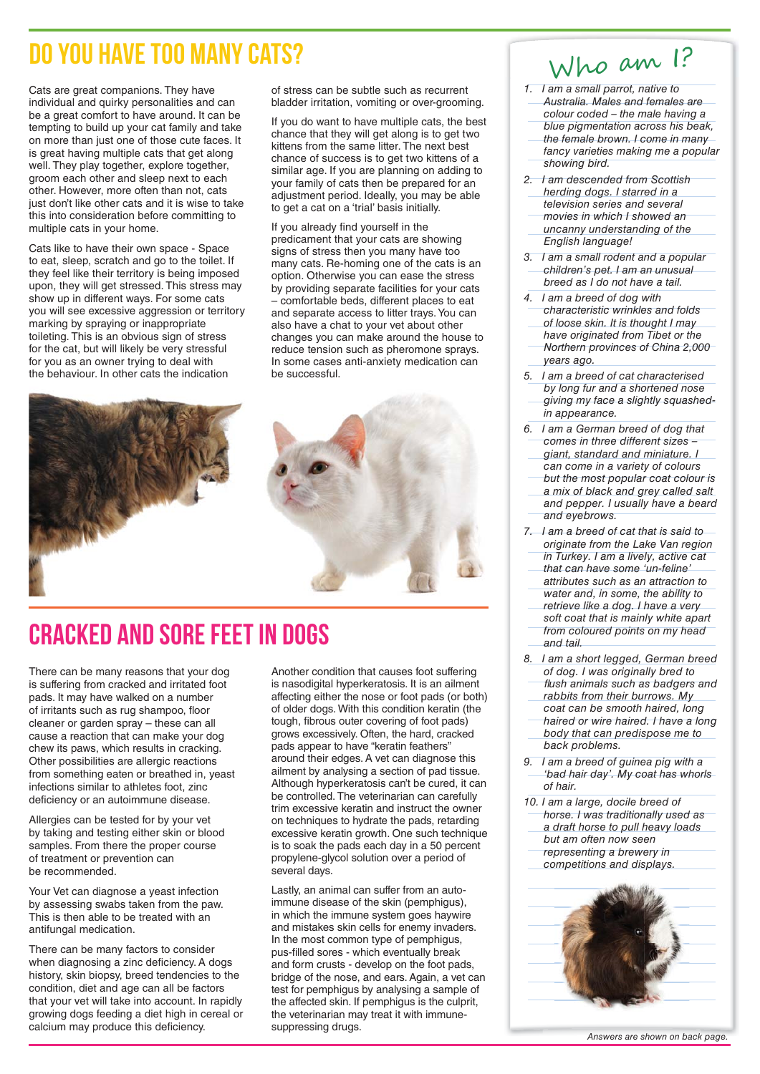### Do you have too many cats?

Cats are great companions. They have individual and quirky personalities and can be a great comfort to have around. It can be tempting to build up your cat family and take on more than just one of those cute faces. It is great having multiple cats that get along well. They play together, explore together. groom each other and sleep next to each other. However, more often than not, cats just don't like other cats and it is wise to take this into consideration before committing to multiple cats in your home.

Cats like to have their own space - Space to eat, sleep, scratch and go to the toilet. If they feel like their territory is being imposed upon, they will get stressed. This stress may show up in different ways. For some cats you will see excessive aggression or territory marking by spraying or inappropriate toileting. This is an obvious sign of stress for the cat, but will likely be very stressful for you as an owner trying to deal with the behaviour. In other cats the indication

of stress can be subtle such as recurrent bladder irritation, vomiting or over-grooming.

If you do want to have multiple cats, the best chance that they will get along is to get two kittens from the same litter. The next best chance of success is to get two kittens of a similar age. If you are planning on adding to your family of cats then be prepared for an adjustment period. Ideally, you may be able to get a cat on a 'trial' basis initially.

If you already find yourself in the predicament that your cats are showing signs of stress then you many have too many cats. Re-homing one of the cats is an option. Otherwise you can ease the stress by providing separate facilities for your cats – comfortable beds, different places to eat and separate access to litter trays. You can also have a chat to your vet about other changes you can make around the house to reduce tension such as pheromone sprays. In some cases anti-anxiety medication can be successful.



### Cracked and sore feet in Dogs

There can be many reasons that your dog is suffering from cracked and irritated foot pads. It may have walked on a number of irritants such as rug shampoo, floor cleaner or garden spray – these can all cause a reaction that can make your dog chew its paws, which results in cracking. Other possibilities are allergic reactions from something eaten or breathed in, yeast infections similar to athletes foot, zinc deficiency or an autoimmune disease.

Allergies can be tested for by your vet by taking and testing either skin or blood samples. From there the proper course of treatment or prevention can be recommended.

Your Vet can diagnose a yeast infection by assessing swabs taken from the paw. This is then able to be treated with an antifungal medication.

There can be many factors to consider when diagnosing a zinc deficiency. A dogs history, skin biopsy, breed tendencies to the condition, diet and age can all be factors that your vet will take into account. In rapidly growing dogs feeding a diet high in cereal or calcium may produce this deficiency.

Another condition that causes foot suffering is nasodigital hyperkeratosis. It is an ailment affecting either the nose or foot pads (or both) of older dogs. With this condition keratin (the tough, fibrous outer covering of foot pads) grows excessively. Often, the hard, cracked pads appear to have "keratin feathers" around their edges. A vet can diagnose this ailment by analysing a section of pad tissue. Although hyperkeratosis can't be cured, it can be controlled. The veterinarian can carefully trim excessive keratin and instruct the owner on techniques to hydrate the pads, retarding excessive keratin growth. One such technique is to soak the pads each day in a 50 percent propylene-glycol solution over a period of several days.

Lastly, an animal can suffer from an autoimmune disease of the skin (pemphigus), in which the immune system goes haywire and mistakes skin cells for enemy invaders. In the most common type of pemphigus, pus-filled sores - which eventually break and form crusts - develop on the foot pads, bridge of the nose, and ears. Again, a vet can test for pemphigus by analysing a sample of the affected skin. If pemphigus is the culprit, the veterinarian may treat it with immunesuppressing drugs.

## Who am I?

- 1. I am a small parrot, native to Australia. Males and females are
- colour coded the male having a blue pigmentation across his beak,
- the female brown. I come in many
- fancy varieties making me a popular showing bird.
- 2. I am descended from Scottish herding dogs. I starred in a
- television series and several movies in which I showed an
- uncanny understanding of the English language!
- 3. I am a small rodent and a popular children's pet. I am an unusual breed as I do not have a tail.
- 4. I am a breed of dog with
- characteristic wrinkles and folds
- of loose skin. It is thought I may have originated from Tibet or the Northern provinces of China 2,000 years ago.
- 5. I am a breed of cat characterised by long fur and a shortened nose giving my face a slightly squashedin appearance.
- 6. I am a German breed of dog that comes in three different sizes –
- giant, standard and miniature. I can come in a variety of colours
- but the most popular coat colour is
- a mix of black and grey called salt and pepper. I usually have a beard and eyebrows.
- 7. I am a breed of cat that is said to originate from the Lake Van region
- in Turkey. I am a lively, active cat that can have some 'un-feline'
- attributes such as an attraction to water and, in some, the ability to
- retrieve like a dog. I have a very soft coat that is mainly white apart from coloured points on my head
- and tail.
- 8. I am a short legged, German breed of dog. I was originally bred to
- flush animals such as badgers and rabbits from their burrows. My
- coat can be smooth haired, long haired or wire haired. I have a long body that can predispose me to back problems.
- 9. I am a breed of guinea pig with a 'bad hair day'. My coat has whorls of hair.
- 10. I am a large, docile breed of horse. I was traditionally used as
- a draft horse to pull heavy loads
- but am often now seen representing a brewery in
- competitions and displays.



Answers are shown on back page.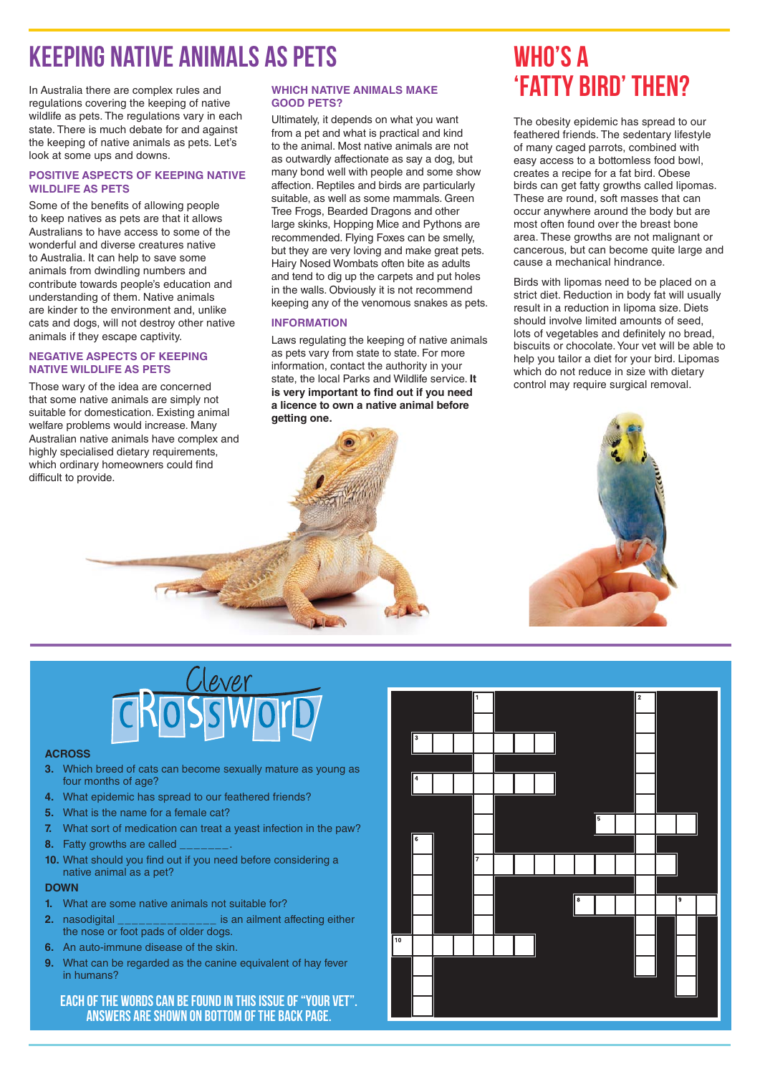### Keeping Native Animals as Pets

regulations covering the keeping of native wildlife as pets. The regulations vary in each state. There is much debate for and against the keeping of native animals as pets. Let's look at some ups and downs.

#### **POSITIVE ASPECTS OF KEEPING NATIVE WILDLIFE AS PETS**

Some of the benefits of allowing people to keep natives as pets are that it allows Australians to have access to some of the wonderful and diverse creatures native to Australia. It can help to save some animals from dwindling numbers and contribute towards people's education and understanding of them. Native animals are kinder to the environment and, unlike cats and dogs, will not destroy other native animals if they escape captivity.

#### **NEGATIVE ASPECTS OF KEEPING NATIVE WILDLIFE AS PETS**

Those wary of the idea are concerned that some native animals are simply not suitable for domestication. Existing animal welfare problems would increase. Many Australian native animals have complex and highly specialised dietary requirements. which ordinary homeowners could find difficult to provide.

#### **WHICH NATIVE ANIMALS MAKE GOOD PETS?**

Ultimately, it depends on what you want from a pet and what is practical and kind to the animal. Most native animals are not as outwardly affectionate as say a dog, but many bond well with people and some show affection. Reptiles and birds are particularly suitable, as well as some mammals. Green Tree Frogs, Bearded Dragons and other large skinks, Hopping Mice and Pythons are recommended. Flying Foxes can be smelly, but they are very loving and make great pets. Hairy Nosed Wombats often bite as adults and tend to dig up the carpets and put holes in the walls. Obviously it is not recommend keeping any of the venomous snakes as pets.

#### **INFORMATION**

Laws regulating the keeping of native animals as pets vary from state to state. For more information, contact the authority in your state, the local Parks and Wildlife service. **It**  is very important to find out if you need **a licence to own a native animal before getting one.**

### Who's a In Australia there are complex rules and  $\blacksquare$  WHICH NATIVE ANIMALS MAKE  $\blacksquare$   $\blacksquare$   $\blacksquare$   $\blacksquare$   $\blacksquare$   $\blacksquare$   $\blacksquare$   $\blacksquare$   $\blacksquare$   $\blacksquare$   $\blacksquare$   $\blacksquare$   $\blacksquare$   $\blacksquare$   $\blacksquare$   $\blacksquare$   $\blacksquare$   $\blacksquare$   $\blacksquare$   $\blacksquare$   $\blacksquare$

The obesity epidemic has spread to our feathered friends. The sedentary lifestyle of many caged parrots, combined with easy access to a bottomless food bowl, creates a recipe for a fat bird. Obese birds can get fatty growths called lipomas. These are round, soft masses that can occur anywhere around the body but are most often found over the breast bone area. These growths are not malignant or cancerous, but can become quite large and cause a mechanical hindrance.

Birds with lipomas need to be placed on a strict diet. Reduction in body fat will usually result in a reduction in lipoma size. Diets should involve limited amounts of seed, lots of vegetables and definitely no bread. biscuits or chocolate. Your vet will be able to help you tailor a diet for your bird. Lipomas which do not reduce in size with dietary control may require surgical removal.





#### **ACROSS**

- **3.** Which breed of cats can become sexually mature as young as four months of age?
- **4.** What epidemic has spread to our feathered friends?
- **5.** What is the name for a female cat?
- **7.** What sort of medication can treat a yeast infection in the paw?
- **8.** Fatty growths are called
- **10.** What should you find out if you need before considering a native animal as a pet?

#### **DOWN**

- **1.** What are some native animals not suitable for?
- **2.** nasodigital \_\_\_\_\_\_\_\_\_\_\_\_\_\_ is an ailment affecting either the nose or foot pads of older dogs.
- **6.** An auto-immune disease of the skin.
- **9.** What can be regarded as the canine equivalent of hay fever in humans?

Each of the words can be found in this issue of "Your vet". Answers are shown on bottom of the back page.